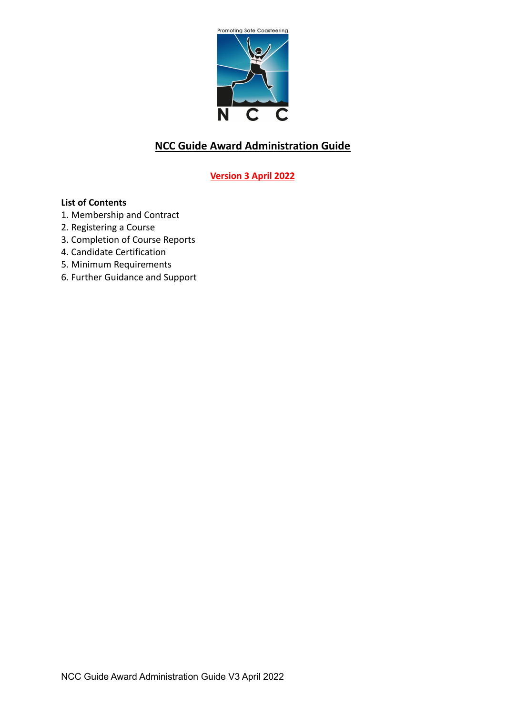

# **NCC Guide Award Administration Guide**

## **Version 3 April 2022**

## **List of Contents**

- 1. Membership and Contract
- 2. Registering a Course
- 3. Completion of Course Reports
- 4. Candidate Certification
- 5. Minimum Requirements
- 6. Further Guidance and Support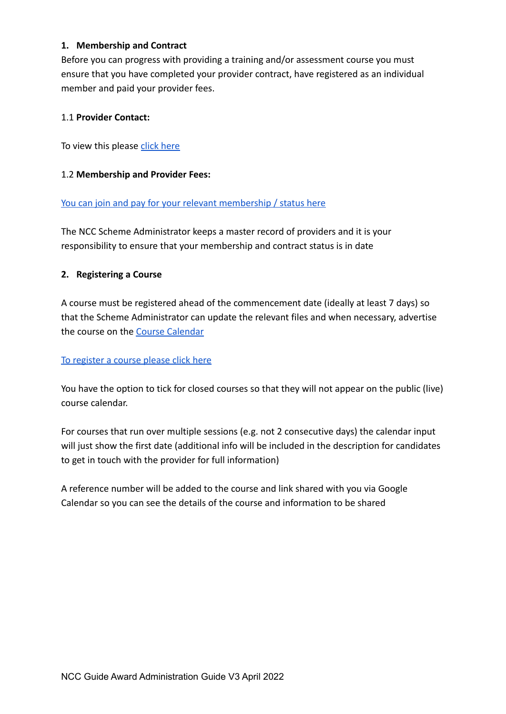## **1. Membership and Contract**

Before you can progress with providing a training and/or assessment course you must ensure that you have completed your provider contract, have registered as an individual member and paid your provider fees.

#### 1.1 **Provider Contact:**

To view this please [click here](https://www.nationalcoasteeringcharter.org.uk/coasteeringguideaward/)

## 1.2 **Membership and Provider Fees:**

#### [You can join and pay for your relevant membership / status here](https://www.nationalcoasteeringcharter.org.uk/join-ncc/)

The NCC Scheme Administrator keeps a master record of providers and it is your responsibility to ensure that your membership and contract status is in date

## **2. Registering a Course**

A course must be registered ahead of the commencement date (ideally at least 7 days) so that the Scheme Administrator can update the relevant files and when necessary, advertise the course on the [Course Calendar](https://calendar.google.com/calendar/u/1?cid=Y29hc3RlZXJpbmdndWlkZWF3YXJkQGdtYWlsLmNvbQ)

#### [To register a course please click here](https://forms.gle/eb72RkTCNNZNBnJx5)

You have the option to tick for closed courses so that they will not appear on the public (live) course calendar.

For courses that run over multiple sessions (e.g. not 2 consecutive days) the calendar input will just show the first date (additional info will be included in the description for candidates to get in touch with the provider for full information)

A reference number will be added to the course and link shared with you via Google Calendar so you can see the details of the course and information to be shared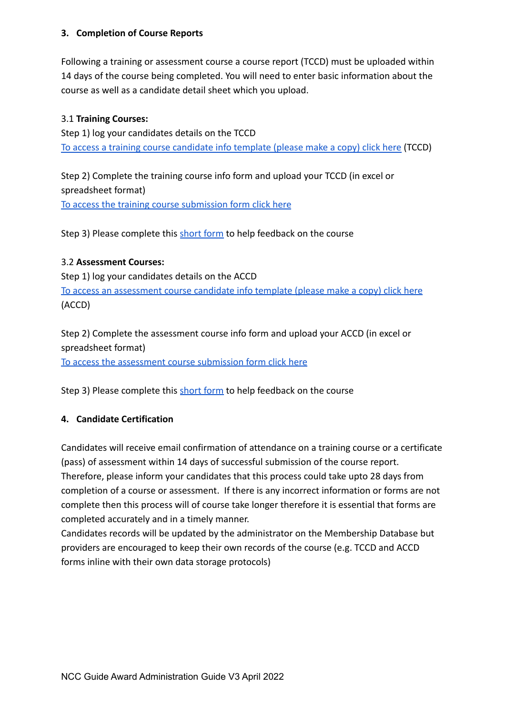## **3. Completion of Course Reports**

Following a training or assessment course a course report (TCCD) must be uploaded within 14 days of the course being completed. You will need to enter basic information about the course as well as a candidate detail sheet which you upload.

## 3.1 **Training Courses:**

Step 1) log your candidates details on the TCCD [To access a training course candidate info template \(please make a copy\) click here](https://docs.google.com/spreadsheets/d/1ZDo7TBc5L5n4i2sqaZySpPzmYbn-htVs3t8z3kWfRdc/edit?usp=sharing) (TCCD)

Step 2) Complete the training course info form and upload your TCCD (in excel or spreadsheet format) [To access the training course submission form click here](https://forms.gle/a2yZjbkGe9uQACqo8)

Step 3) Please complete this [short form](https://forms.gle/6XsXpvaoD1p2TCrf8) to help feedback on the course

#### 3.2 **Assessment Courses:**

Step 1) log your candidates details on the ACCD [To access an assessment course candidate info template \(please make a copy\) click here](https://docs.google.com/spreadsheets/d/1taIl4PlCgaJ6cfCPsNbFqHSGsA6mLZuJsR-uoxjZinU/edit?usp=sharing) (ACCD)

Step 2) Complete the assessment course info form and upload your ACCD (in excel or spreadsheet format)

[To access the assessment course submission form click here](https://forms.gle/RLHKyPmHLLFFQ7MW6)

Step 3) Please complete this [short form](https://forms.gle/6XsXpvaoD1p2TCrf8) to help feedback on the course

## **4. Candidate Certification**

Candidates will receive email confirmation of attendance on a training course or a certificate (pass) of assessment within 14 days of successful submission of the course report. Therefore, please inform your candidates that this process could take upto 28 days from completion of a course or assessment. If there is any incorrect information or forms are not complete then this process will of course take longer therefore it is essential that forms are completed accurately and in a timely manner.

Candidates records will be updated by the administrator on the Membership Database but providers are encouraged to keep their own records of the course (e.g. TCCD and ACCD forms inline with their own data storage protocols)